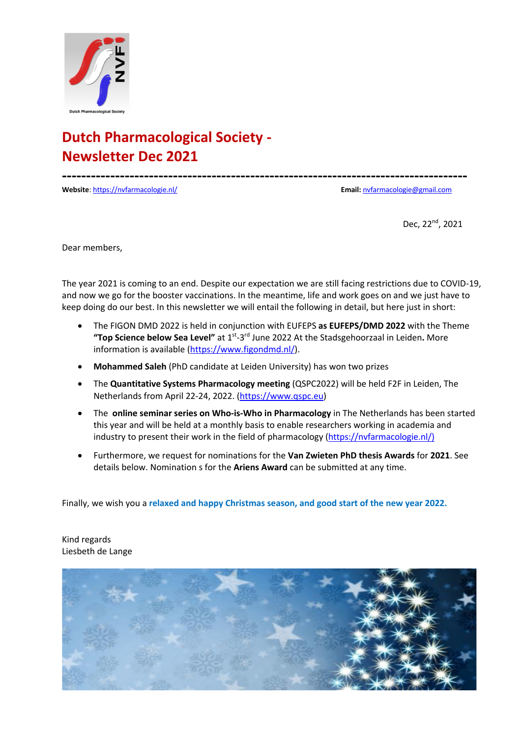

**------------------------------------------------------------------------------------**

**Website**: https://nvfarmacologie.nl/ **Email:** nvfarmacologie@gmail.com

Dec, 22nd, 2021

Dear members,

The year 2021 is coming to an end. Despite our expectation we are still facing restrictions due to COVID-19, and now we go for the booster vaccinations. In the meantime, life and work goes on and we just have to keep doing do our best. In this newsletter we will entail the following in detail, but here just in short:

- The FIGON DMD 2022 is held in conjunction with EUFEPS **as EUFEPS/DMD 2022** with the Theme **"Top Science below Sea Level"** at 1st-3rd June 2022 At the Stadsgehoorzaal in Leiden**.** More information is available (https://www.figondmd.nl/).
- **Mohammed Saleh** (PhD candidate at Leiden University) has won two prizes
- The **Quantitative Systems Pharmacology meeting** (QSPC2022) will be held F2F in Leiden, The Netherlands from April 22-24, 2022. (https://www.qspc.eu)
- The **online seminar series on Who-is-Who in Pharmacology** in The Netherlands has been started this year and will be held at a monthly basis to enable researchers working in academia and industry to present their work in the field of pharmacology (https://nvfarmacologie.nl/)
- Furthermore, we request for nominations for the **Van Zwieten PhD thesis Awards** for **2021**. See details below. Nomination s for the **Ariens Award** can be submitted at any time.

Finally, we wish you a **relaxed and happy Christmas season, and good start of the new year 2022.**

Kind regards Liesbeth de Lange

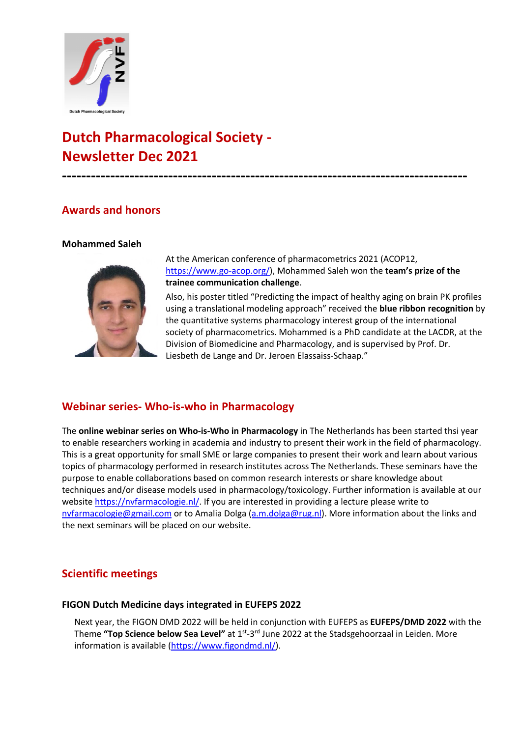

**------------------------------------------------------------------------------------**

### **Awards and honors**

#### **Mohammed Saleh**



At the American conference of pharmacometrics 2021 (ACOP12, https://www.go-acop.org/), Mohammed Saleh won the **team's prize of the trainee communication challenge**.

Also, his poster titled "Predicting the impact of healthy aging on brain PK profiles using a translational modeling approach" received the **blue ribbon recognition** by the quantitative systems pharmacology interest group of the international society of pharmacometrics. Mohammed is a PhD candidate at the LACDR, at the Division of Biomedicine and Pharmacology, and is supervised by Prof. Dr. Liesbeth de Lange and Dr. Jeroen Elassaiss-Schaap."

## **Webinar series- Who-is-who in Pharmacology**

The **online webinar series on Who-is-Who in Pharmacology** in The Netherlands has been started thsi year to enable researchers working in academia and industry to present their work in the field of pharmacology. This is a great opportunity for small SME or large companies to present their work and learn about various topics of pharmacology performed in research institutes across The Netherlands. These seminars have the purpose to enable collaborations based on common research interests or share knowledge about techniques and/or disease models used in pharmacology/toxicology. Further information is available at our website https://nvfarmacologie.nl/. If you are interested in providing a lecture please write to nvfarmacologie@gmail.com or to Amalia Dolga (a.m.dolga@rug.nl). More information about the links and the next seminars will be placed on our website.

## **Scientific meetings**

#### **FIGON Dutch Medicine days integrated in EUFEPS 2022**

Next year, the FIGON DMD 2022 will be held in conjunction with EUFEPS as **EUFEPS/DMD 2022** with the Theme **"Top Science below Sea Level"** at 1st-3rd June 2022 at the Stadsgehoorzaal in Leiden. More information is available (https://www.figondmd.nl/).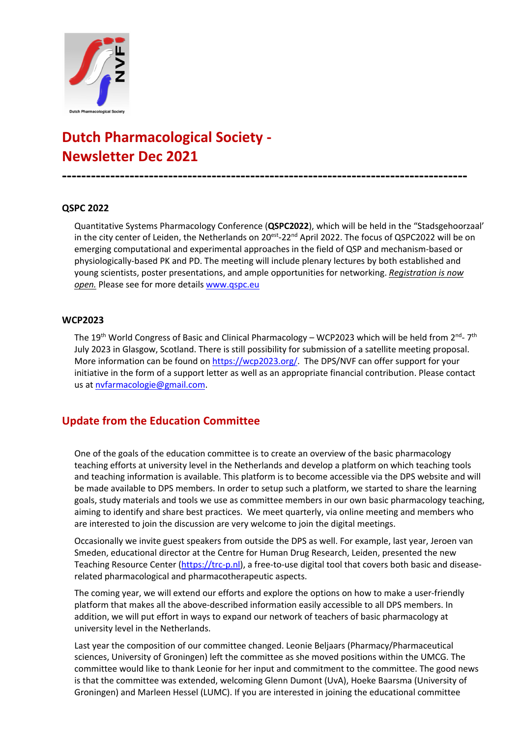

**------------------------------------------------------------------------------------**

#### **QSPC 2022**

Quantitative Systems Pharmacology Conference (**QSPC2022**), which will be held in the "Stadsgehoorzaal' in the city center of Leiden, the Netherlands on 20<sup>est</sup>-22<sup>nd</sup> April 2022. The focus of QSPC2022 will be on emerging computational and experimental approaches in the field of QSP and mechanism-based or physiologically-based PK and PD. The meeting will include plenary lectures by both established and young scientists, poster presentations, and ample opportunities for networking. *Registration is now open.* Please see for more details www.qspc.eu

#### **WCP2023**

The 19<sup>th</sup> World Congress of Basic and Clinical Pharmacology – WCP2023 which will be held from 2<sup>nd</sup>- 7<sup>th</sup> July 2023 in Glasgow, Scotland. There is still possibility for submission of a satellite meeting proposal. More information can be found on https://wcp2023.org/. The DPS/NVF can offer support for your initiative in the form of a support letter as well as an appropriate financial contribution. Please contact us at nvfarmacologie@gmail.com.

### **Update from the Education Committee**

One of the goals of the education committee is to create an overview of the basic pharmacology teaching efforts at university level in the Netherlands and develop a platform on which teaching tools and teaching information is available. This platform is to become accessible via the DPS website and will be made available to DPS members. In order to setup such a platform, we started to share the learning goals, study materials and tools we use as committee members in our own basic pharmacology teaching, aiming to identify and share best practices. We meet quarterly, via online meeting and members who are interested to join the discussion are very welcome to join the digital meetings.

Occasionally we invite guest speakers from outside the DPS as well. For example, last year, Jeroen van Smeden, educational director at the Centre for Human Drug Research, Leiden, presented the new Teaching Resource Center (https://trc-p.nl), a free-to-use digital tool that covers both basic and diseaserelated pharmacological and pharmacotherapeutic aspects.

The coming year, we will extend our efforts and explore the options on how to make a user-friendly platform that makes all the above-described information easily accessible to all DPS members. In addition, we will put effort in ways to expand our network of teachers of basic pharmacology at university level in the Netherlands.

Last year the composition of our committee changed. Leonie Beljaars (Pharmacy/Pharmaceutical sciences, University of Groningen) left the committee as she moved positions within the UMCG. The committee would like to thank Leonie for her input and commitment to the committee. The good news is that the committee was extended, welcoming Glenn Dumont (UvA), Hoeke Baarsma (University of Groningen) and Marleen Hessel (LUMC). If you are interested in joining the educational committee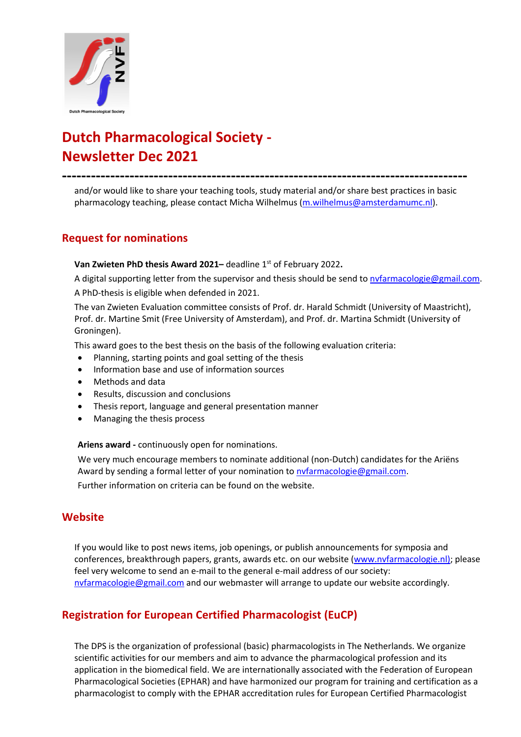

**------------------------------------------------------------------------------------**

and/or would like to share your teaching tools, study material and/or share best practices in basic pharmacology teaching, please contact Micha Wilhelmus (m.wilhelmus@amsterdamumc.nl).

### **Request for nominations**

#### **Van Zwieten PhD thesis Award 2021–** deadline 1<sup>st</sup> of February 2022.

A digital supporting letter from the supervisor and thesis should be send to nvfarmacologie@gmail.com. A PhD-thesis is eligible when defended in 2021.

The van Zwieten Evaluation committee consists of Prof. dr. Harald Schmidt (University of Maastricht), Prof. dr. Martine Smit (Free University of Amsterdam), and Prof. dr. Martina Schmidt (University of Groningen).

This award goes to the best thesis on the basis of the following evaluation criteria:

- Planning, starting points and goal setting of the thesis
- Information base and use of information sources
- Methods and data
- Results, discussion and conclusions
- Thesis report, language and general presentation manner
- Managing the thesis process

#### **Ariens award -** continuously open for nominations.

We very much encourage members to nominate additional (non-Dutch) candidates for the Ariëns Award by sending a formal letter of your nomination to nvfarmacologie@gmail.com.

Further information on criteria can be found on the website.

### **Website**

If you would like to post news items, job openings, or publish announcements for symposia and conferences, breakthrough papers, grants, awards etc. on our website (www.nvfarmacologie.nl); please feel very welcome to send an e-mail to the general e-mail address of our society: nvfarmacologie@gmail.com and our webmaster will arrange to update our website accordingly.

## **Registration for European Certified Pharmacologist (EuCP)**

The DPS is the organization of professional (basic) pharmacologists in The Netherlands. We organize scientific activities for our members and aim to advance the pharmacological profession and its application in the biomedical field. We are internationally associated with the Federation of European Pharmacological Societies (EPHAR) and have harmonized our program for training and certification as a pharmacologist to comply with the EPHAR accreditation rules for European Certified Pharmacologist